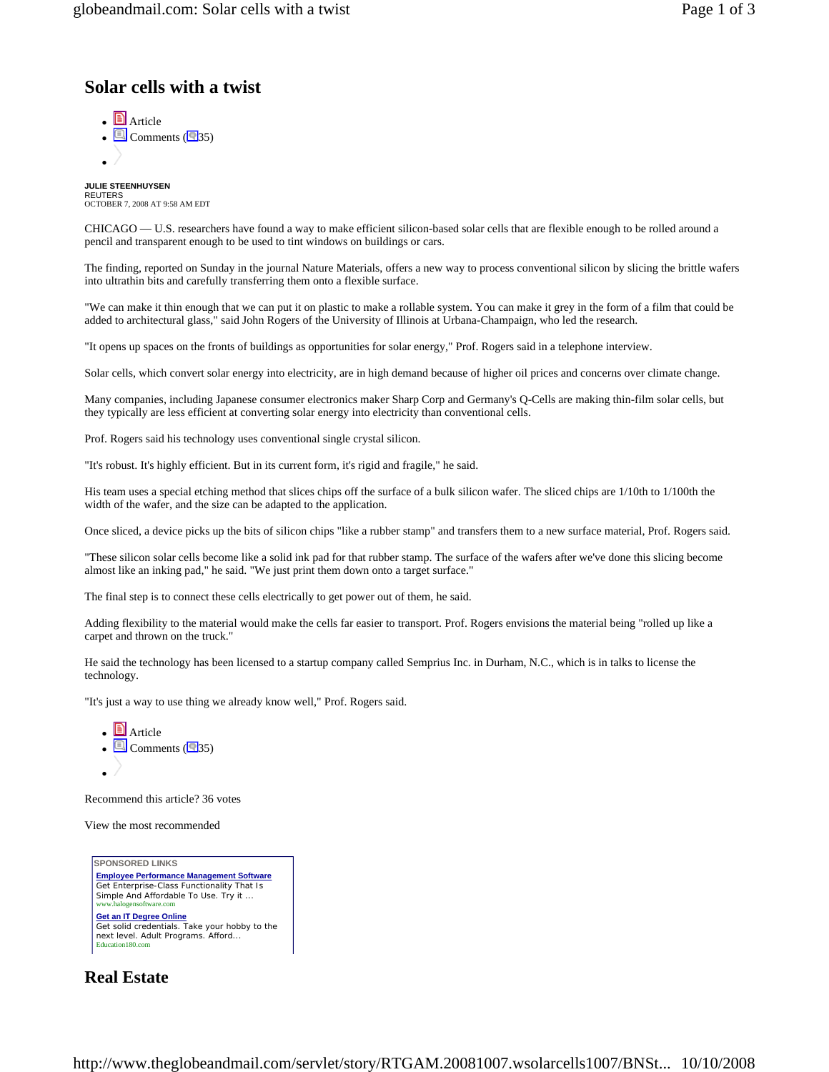## **Solar cells with a twist**

 $\bullet$  **A**rticle  $\cdot$   $\Box$  Comments ( $\Box$ 35)  $\bullet$  /

**JULIE STEENHUYSEN**  REUTERS OCTOBER 7, 2008 AT 9:58 AM EDT

CHICAGO — U.S. researchers have found a way to make efficient silicon-based solar cells that are flexible enough to be rolled around a pencil and transparent enough to be used to tint windows on buildings or cars.

The finding, reported on Sunday in the journal Nature Materials, offers a new way to process conventional silicon by slicing the brittle wafers into ultrathin bits and carefully transferring them onto a flexible surface.

"We can make it thin enough that we can put it on plastic to make a rollable system. You can make it grey in the form of a film that could be added to architectural glass," said John Rogers of the University of Illinois at Urbana-Champaign, who led the research.

"It opens up spaces on the fronts of buildings as opportunities for solar energy," Prof. Rogers said in a telephone interview.

Solar cells, which convert solar energy into electricity, are in high demand because of higher oil prices and concerns over climate change.

Many companies, including Japanese consumer electronics maker Sharp Corp and Germany's Q-Cells are making thin-film solar cells, but they typically are less efficient at converting solar energy into electricity than conventional cells.

Prof. Rogers said his technology uses conventional single crystal silicon.

"It's robust. It's highly efficient. But in its current form, it's rigid and fragile," he said.

His team uses a special etching method that slices chips off the surface of a bulk silicon wafer. The sliced chips are 1/10th to 1/100th the width of the wafer, and the size can be adapted to the application.

Once sliced, a device picks up the bits of silicon chips "like a rubber stamp" and transfers them to a new surface material, Prof. Rogers said.

"These silicon solar cells become like a solid ink pad for that rubber stamp. The surface of the wafers after we've done this slicing become almost like an inking pad," he said. "We just print them down onto a target surface."

The final step is to connect these cells electrically to get power out of them, he said.

Adding flexibility to the material would make the cells far easier to transport. Prof. Rogers envisions the material being "rolled up like a carpet and thrown on the truck."

He said the technology has been licensed to a startup company called Semprius Inc. in Durham, N.C., which is in talks to license the technology.

"It's just a way to use thing we already know well," Prof. Rogers said.



Recommend this article? 36 votes

View the most recommended



**Real Estate**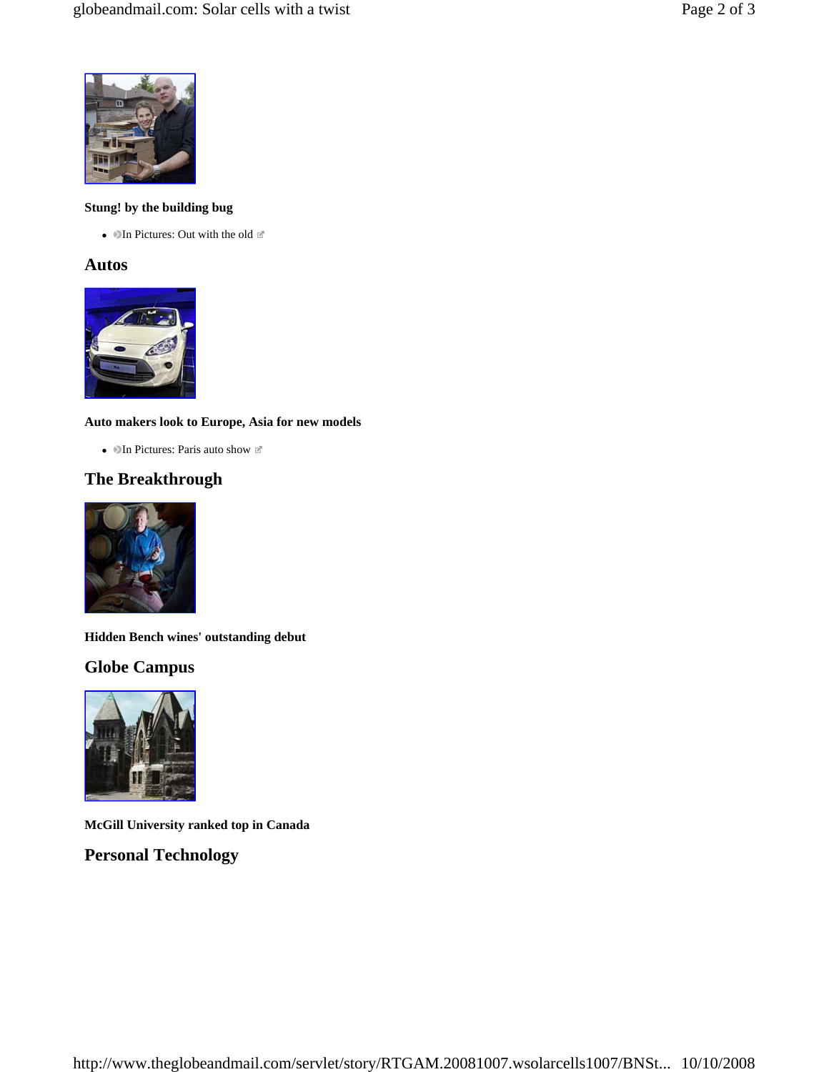

### **Stung! by the building bug**

• In Pictures: Out with the old  $\mathbb{E}$ 

### **Autos**



### **Auto makers look to Europe, Asia for new models**

• In Pictures: Paris auto show  $\mathbb{E}$ 

# **The Breakthrough**



**Hidden Bench wines' outstanding debut** 

# **Globe Campus**



**McGill University ranked top in Canada** 

# **Personal Technology**